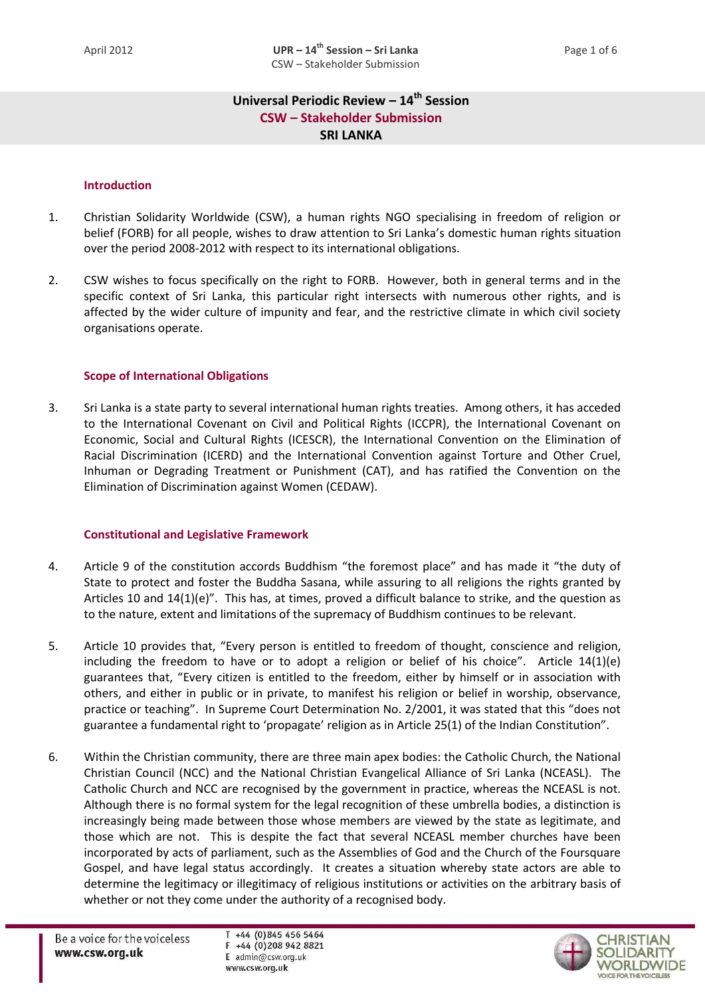# **Universal Periodic Review – 14th Session CSW – Stakeholder Submission SRI LANKA**

#### **Introduction**

- 1. Christian Solidarity Worldwide (CSW), a human rights NGO specialising in freedom of religion or belief (FORB) for all people, wishes to draw attention to Sri Lanka's domestic human rights situation over the period 2008-2012 with respect to its international obligations.
- 2. CSW wishes to focus specifically on the right to FORB. However, both in general terms and in the specific context of Sri Lanka, this particular right intersects with numerous other rights, and is affected by the wider culture of impunity and fear, and the restrictive climate in which civil society organisations operate.

#### **Scope of International Obligations**

3. Sri Lanka is a state party to several international human rights treaties. Among others, it has acceded to the International Covenant on Civil and Political Rights (ICCPR), the International Covenant on Economic, Social and Cultural Rights (ICESCR), the International Convention on the Elimination of Racial Discrimination (ICERD) and the International Convention against Torture and Other Cruel, Inhuman or Degrading Treatment or Punishment (CAT), and has ratified the Convention on the Elimination of Discrimination against Women (CEDAW).

### **Constitutional and Legislative Framework**

- 4. Article 9 of the constitution accords Buddhism "the foremost place" and has made it "the duty of State to protect and foster the Buddha Sasana, while assuring to all religions the rights granted by Articles 10 and 14(1)(e)". This has, at times, proved a difficult balance to strike, and the question as to the nature, extent and limitations of the supremacy of Buddhism continues to be relevant.
- 5. Article 10 provides that, "Every person is entitled to freedom of thought, conscience and religion, including the freedom to have or to adopt a religion or belief of his choice". Article 14(1)(e) guarantees that, "Every citizen is entitled to the freedom, either by himself or in association with others, and either in public or in private, to manifest his religion or belief in worship, observance, practice or teaching". In Supreme Court Determination No. 2/2001, it was stated that this "does not guarantee a fundamental right to 'propagate' religion as in Article 25(1) of the Indian Constitution".
- 6. Within the Christian community, there are three main apex bodies: the Catholic Church, the National Christian Council (NCC) and the National Christian Evangelical Alliance of Sri Lanka (NCEASL). The Catholic Church and NCC are recognised by the government in practice, whereas the NCEASL is not. Although there is no formal system for the legal recognition of these umbrella bodies, a distinction is increasingly being made between those whose members are viewed by the state as legitimate, and those which are not. This is despite the fact that several NCEASL member churches have been incorporated by acts of parliament, such as the Assemblies of God and the Church of the Foursquare Gospel, and have legal status accordingly. It creates a situation whereby state actors are able to determine the legitimacy or illegitimacy of religious institutions or activities on the arbitrary basis of whether or not they come under the authority of a recognised body.

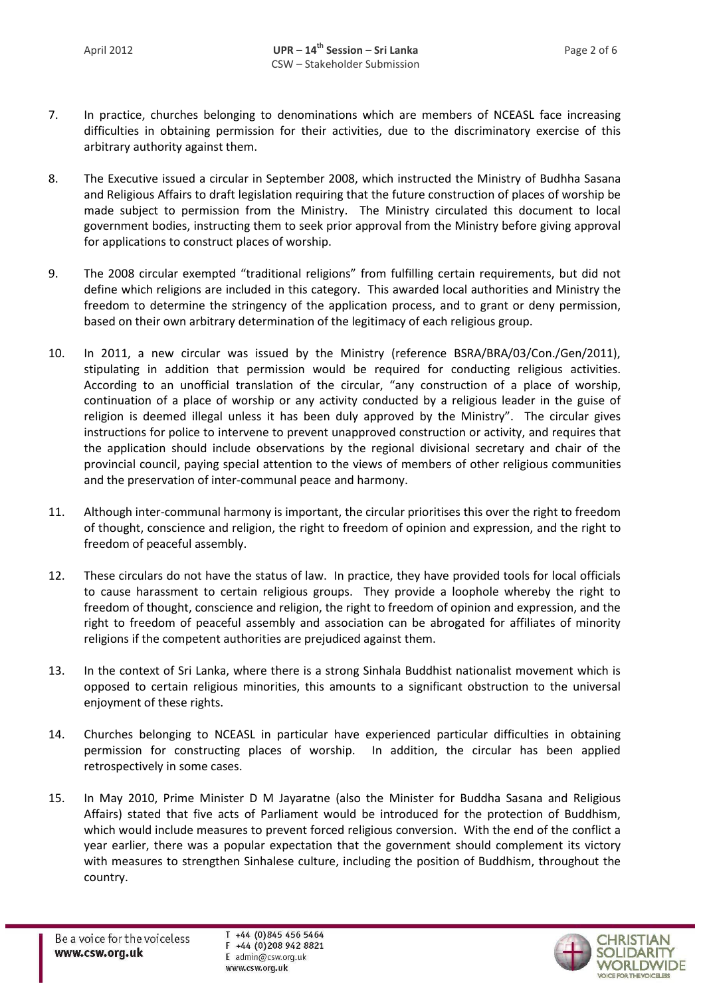- 7. In practice, churches belonging to denominations which are members of NCEASL face increasing difficulties in obtaining permission for their activities, due to the discriminatory exercise of this arbitrary authority against them.
- 8. The Executive issued a circular in September 2008, which instructed the Ministry of Budhha Sasana and Religious Affairs to draft legislation requiring that the future construction of places of worship be made subject to permission from the Ministry. The Ministry circulated this document to local government bodies, instructing them to seek prior approval from the Ministry before giving approval for applications to construct places of worship.
- 9. The 2008 circular exempted "traditional religions" from fulfilling certain requirements, but did not define which religions are included in this category. This awarded local authorities and Ministry the freedom to determine the stringency of the application process, and to grant or deny permission, based on their own arbitrary determination of the legitimacy of each religious group.
- 10. In 2011, a new circular was issued by the Ministry (reference BSRA/BRA/03/Con./Gen/2011), stipulating in addition that permission would be required for conducting religious activities. According to an unofficial translation of the circular, "any construction of a place of worship, continuation of a place of worship or any activity conducted by a religious leader in the guise of religion is deemed illegal unless it has been duly approved by the Ministry". The circular gives instructions for police to intervene to prevent unapproved construction or activity, and requires that the application should include observations by the regional divisional secretary and chair of the provincial council, paying special attention to the views of members of other religious communities and the preservation of inter-communal peace and harmony.
- 11. Although inter-communal harmony is important, the circular prioritises this over the right to freedom of thought, conscience and religion, the right to freedom of opinion and expression, and the right to freedom of peaceful assembly.
- 12. These circulars do not have the status of law. In practice, they have provided tools for local officials to cause harassment to certain religious groups. They provide a loophole whereby the right to freedom of thought, conscience and religion, the right to freedom of opinion and expression, and the right to freedom of peaceful assembly and association can be abrogated for affiliates of minority religions if the competent authorities are prejudiced against them.
- 13. In the context of Sri Lanka, where there is a strong Sinhala Buddhist nationalist movement which is opposed to certain religious minorities, this amounts to a significant obstruction to the universal enjoyment of these rights.
- 14. Churches belonging to NCEASL in particular have experienced particular difficulties in obtaining permission for constructing places of worship. In addition, the circular has been applied retrospectively in some cases.
- 15. In May 2010, Prime Minister D M Jayaratne (also the Minister for Buddha Sasana and Religious Affairs) stated that five acts of Parliament would be introduced for the protection of Buddhism, which would include measures to prevent forced religious conversion. With the end of the conflict a year earlier, there was a popular expectation that the government should complement its victory with measures to strengthen Sinhalese culture, including the position of Buddhism, throughout the country.

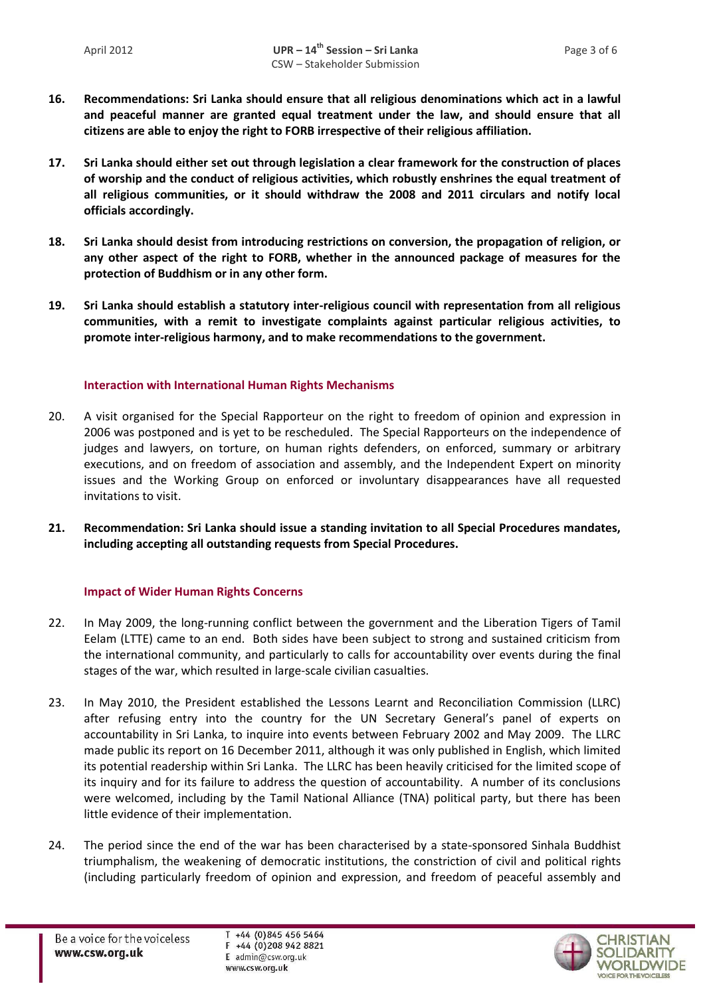- **16. Recommendations: Sri Lanka should ensure that all religious denominations which act in a lawful and peaceful manner are granted equal treatment under the law, and should ensure that all citizens are able to enjoy the right to FORB irrespective of their religious affiliation.**
- **17. Sri Lanka should either set out through legislation a clear framework for the construction of places of worship and the conduct of religious activities, which robustly enshrines the equal treatment of all religious communities, or it should withdraw the 2008 and 2011 circulars and notify local officials accordingly.**
- **18. Sri Lanka should desist from introducing restrictions on conversion, the propagation of religion, or any other aspect of the right to FORB, whether in the announced package of measures for the protection of Buddhism or in any other form.**
- **19. Sri Lanka should establish a statutory inter-religious council with representation from all religious communities, with a remit to investigate complaints against particular religious activities, to promote inter-religious harmony, and to make recommendations to the government.**

## **Interaction with International Human Rights Mechanisms**

- 20. A visit organised for the Special Rapporteur on the right to freedom of opinion and expression in 2006 was postponed and is yet to be rescheduled. The Special Rapporteurs on the independence of judges and lawyers, on torture, on human rights defenders, on enforced, summary or arbitrary executions, and on freedom of association and assembly, and the Independent Expert on minority issues and the Working Group on enforced or involuntary disappearances have all requested invitations to visit.
- **21. Recommendation: Sri Lanka should issue a standing invitation to all Special Procedures mandates, including accepting all outstanding requests from Special Procedures.**

## **Impact of Wider Human Rights Concerns**

- 22. In May 2009, the long-running conflict between the government and the Liberation Tigers of Tamil Eelam (LTTE) came to an end. Both sides have been subject to strong and sustained criticism from the international community, and particularly to calls for accountability over events during the final stages of the war, which resulted in large-scale civilian casualties.
- 23. In May 2010, the President established the Lessons Learnt and Reconciliation Commission (LLRC) after refusing entry into the country for the UN Secretary General's panel of experts on accountability in Sri Lanka, to inquire into events between February 2002 and May 2009. The LLRC made public its report on 16 December 2011, although it was only published in English, which limited its potential readership within Sri Lanka. The LLRC has been heavily criticised for the limited scope of its inquiry and for its failure to address the question of accountability. A number of its conclusions were welcomed, including by the Tamil National Alliance (TNA) political party, but there has been little evidence of their implementation.
- 24. The period since the end of the war has been characterised by a state-sponsored Sinhala Buddhist triumphalism, the weakening of democratic institutions, the constriction of civil and political rights (including particularly freedom of opinion and expression, and freedom of peaceful assembly and

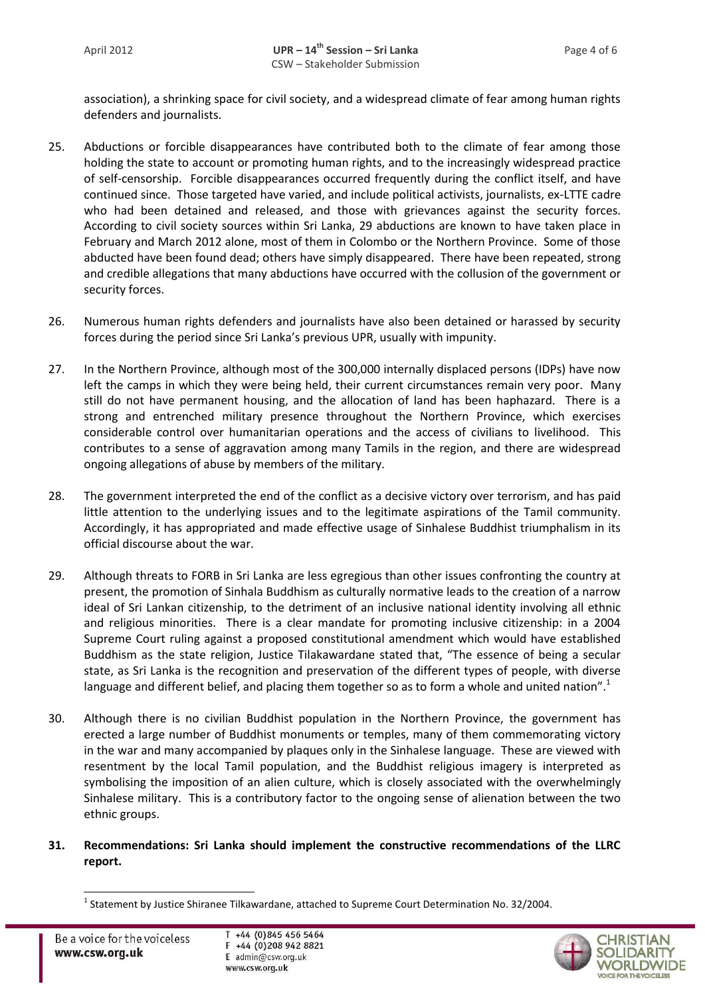association), a shrinking space for civil society, and a widespread climate of fear among human rights defenders and journalists.

- 25. Abductions or forcible disappearances have contributed both to the climate of fear among those holding the state to account or promoting human rights, and to the increasingly widespread practice of self-censorship. Forcible disappearances occurred frequently during the conflict itself, and have continued since. Those targeted have varied, and include political activists, journalists, ex-LTTE cadre who had been detained and released, and those with grievances against the security forces. According to civil society sources within Sri Lanka, 29 abductions are known to have taken place in February and March 2012 alone, most of them in Colombo or the Northern Province. Some of those abducted have been found dead; others have simply disappeared. There have been repeated, strong and credible allegations that many abductions have occurred with the collusion of the government or security forces.
- 26. Numerous human rights defenders and journalists have also been detained or harassed by security forces during the period since Sri Lanka's previous UPR, usually with impunity.
- 27. In the Northern Province, although most of the 300,000 internally displaced persons (IDPs) have now left the camps in which they were being held, their current circumstances remain very poor. Many still do not have permanent housing, and the allocation of land has been haphazard. There is a strong and entrenched military presence throughout the Northern Province, which exercises considerable control over humanitarian operations and the access of civilians to livelihood. This contributes to a sense of aggravation among many Tamils in the region, and there are widespread ongoing allegations of abuse by members of the military.
- 28. The government interpreted the end of the conflict as a decisive victory over terrorism, and has paid little attention to the underlying issues and to the legitimate aspirations of the Tamil community. Accordingly, it has appropriated and made effective usage of Sinhalese Buddhist triumphalism in its official discourse about the war.
- 29. Although threats to FORB in Sri Lanka are less egregious than other issues confronting the country at present, the promotion of Sinhala Buddhism as culturally normative leads to the creation of a narrow ideal of Sri Lankan citizenship, to the detriment of an inclusive national identity involving all ethnic and religious minorities. There is a clear mandate for promoting inclusive citizenship: in a 2004 Supreme Court ruling against a proposed constitutional amendment which would have established Buddhism as the state religion, Justice Tilakawardane stated that, "The essence of being a secular state, as Sri Lanka is the recognition and preservation of the different types of people, with diverse language and different belief, and placing them together so as to form a whole and united nation".<sup>1</sup>
- 30. Although there is no civilian Buddhist population in the Northern Province, the government has erected a large number of Buddhist monuments or temples, many of them commemorating victory in the war and many accompanied by plaques only in the Sinhalese language. These are viewed with resentment by the local Tamil population, and the Buddhist religious imagery is interpreted as symbolising the imposition of an alien culture, which is closely associated with the overwhelmingly Sinhalese military. This is a contributory factor to the ongoing sense of alienation between the two ethnic groups.
- **31. Recommendations: Sri Lanka should implement the constructive recommendations of the LLRC report.**

l



<sup>&</sup>lt;sup>1</sup> Statement by Justice Shiranee Tilkawardane, attached to Supreme Court Determination No. 32/2004.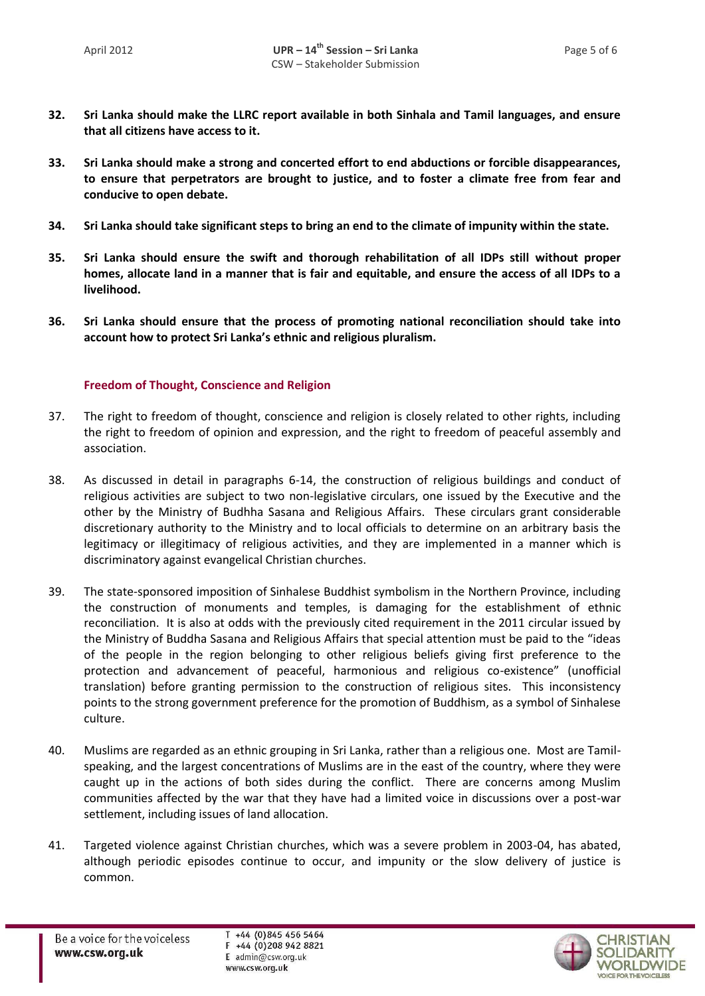- **32. Sri Lanka should make the LLRC report available in both Sinhala and Tamil languages, and ensure that all citizens have access to it.**
- **33. Sri Lanka should make a strong and concerted effort to end abductions or forcible disappearances, to ensure that perpetrators are brought to justice, and to foster a climate free from fear and conducive to open debate.**
- **34. Sri Lanka should take significant steps to bring an end to the climate of impunity within the state.**
- **35. Sri Lanka should ensure the swift and thorough rehabilitation of all IDPs still without proper homes, allocate land in a manner that is fair and equitable, and ensure the access of all IDPs to a livelihood.**
- **36. Sri Lanka should ensure that the process of promoting national reconciliation should take into account how to protect Sri Lanka's ethnic and religious pluralism.**

## **Freedom of Thought, Conscience and Religion**

- 37. The right to freedom of thought, conscience and religion is closely related to other rights, including the right to freedom of opinion and expression, and the right to freedom of peaceful assembly and association.
- 38. As discussed in detail in paragraphs 6-14, the construction of religious buildings and conduct of religious activities are subject to two non-legislative circulars, one issued by the Executive and the other by the Ministry of Budhha Sasana and Religious Affairs. These circulars grant considerable discretionary authority to the Ministry and to local officials to determine on an arbitrary basis the legitimacy or illegitimacy of religious activities, and they are implemented in a manner which is discriminatory against evangelical Christian churches.
- 39. The state-sponsored imposition of Sinhalese Buddhist symbolism in the Northern Province, including the construction of monuments and temples, is damaging for the establishment of ethnic reconciliation. It is also at odds with the previously cited requirement in the 2011 circular issued by the Ministry of Buddha Sasana and Religious Affairs that special attention must be paid to the "ideas of the people in the region belonging to other religious beliefs giving first preference to the protection and advancement of peaceful, harmonious and religious co-existence" (unofficial translation) before granting permission to the construction of religious sites. This inconsistency points to the strong government preference for the promotion of Buddhism, as a symbol of Sinhalese culture.
- 40. Muslims are regarded as an ethnic grouping in Sri Lanka, rather than a religious one. Most are Tamilspeaking, and the largest concentrations of Muslims are in the east of the country, where they were caught up in the actions of both sides during the conflict. There are concerns among Muslim communities affected by the war that they have had a limited voice in discussions over a post-war settlement, including issues of land allocation.
- 41. Targeted violence against Christian churches, which was a severe problem in 2003-04, has abated, although periodic episodes continue to occur, and impunity or the slow delivery of justice is common.